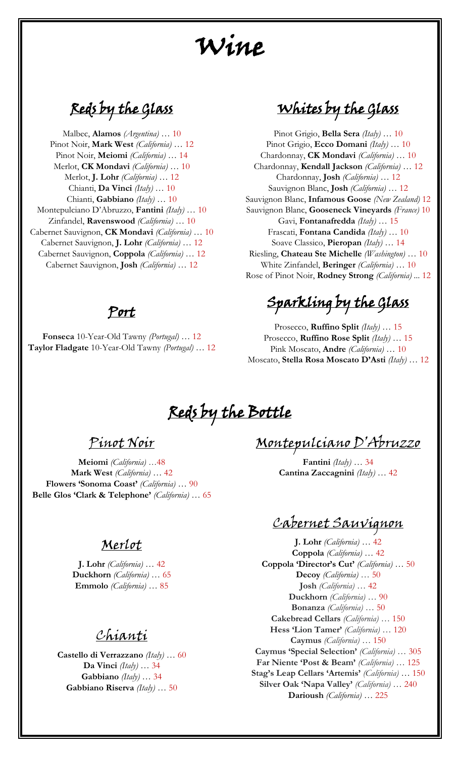# Wine

Reds by the Glass

Malbec, **Alamos** *(Argentina)* … 10 Pinot Noir, **Mark West** *(California)* … 12 Pinot Noir, **Meiomi** *(California)* … 14 Merlot, **CK Mondavi** *(California)* … 10 Merlot, **J. Lohr** *(California)* … 12 Chianti, **Da Vinci** *(Italy)* … 10 Chianti, **Gabbiano** *(Italy)* … 10 Montepulciano D'Abruzzo, **Fantini** *(Italy)* … 10 Zinfandel, **Ravenswood** *(California)* … 10 Cabernet Sauvignon, **CK Mondavi** *(California)* … 10 Cabernet Sauvignon, **J. Lohr** *(California)* … 12 Cabernet Sauvignon, **Coppola** *(California)* … 12 Cabernet Sauvignon, **Josh** *(California)* … 12

### Port

**Fonseca** 10-Year-Old Tawny *(Portugal)* … 12 **Taylor Fladgate** 10-Year-Old Tawny *(Portugal)* … 12

Whites by the Glass

Pinot Grigio, **Bella Sera** *(Italy)* … 10 Pinot Grigio, **Ecco Domani** *(Italy)* … 10 Chardonnay, **CK Mondavi** *(California)* … 10 Chardonnay, **Kendall Jackson** *(California)* … 12 Chardonnay, **Josh** *(California)* … 12 Sauvignon Blanc, **Josh** *(California)* … 12 Sauvignon Blanc, **Infamous Goose** *(New Zealand)* 12 Sauvignon Blanc, **Gooseneck Vineyards** *(France)* 10 Gavi, **Fontanafredda** *(Italy)* … 15 Frascati, **Fontana Candida** *(Italy)* … 10 Soave Classico, **Pieropan** *(Italy)* … 14 Riesling, **Chateau Ste Michelle** *(Washington)* … 10 White Zinfandel, **Beringer** *(California)* … 10 Rose of Pinot Noir, **Rodney Strong** *(California) ...* 12

Sparkling by the Glass

Prosecco, **Ruffino Split** *(Italy)* … 15 Prosecco, **Ruffino Rose Split** *(Italy)* … 15 Pink Moscato, **Andre** *(California)* … 10 Moscato, **Stella Rosa Moscato D'Asti** *(Italy)* … 12

Reds by the Bottle

Pinot Noir

**Meiomi** *(California)* …48 **Mark West** *(California)* … 42 **Flowers 'Sonoma Coast'** *(California)* … 90 **Belle Glos 'Clark & Telephone'** *(California)* … 65

#### Merlot

**J. Lohr** *(California)* … 42 **Duckhorn** *(California)* … 65 **Emmolo** *(California)* … 85

Chianti

**Castello di Verrazzano** *(Italy)* … 60 **Da Vinci** *(Italy)* … 34 **Gabbiano** *(Italy)* … 34 **Gabbiano Riserva** *(Italy)* … 50

Montepulciano D'Abruzzo

**Fantini** *(Italy)* … 34 **Cantina Zaccagnini** *(Italy)* … 42

### Cabernet Sauvignon

**J. Lohr** *(California)* … 42 **Coppola** *(California)* … 42 **Coppola 'Director's Cut'** *(California)* … 50 **Decoy** *(California)* … 50 **Josh** *(California)* … 42 **Duckhorn** *(California)* … 90 **Bonanza** *(California)* … 50 **Cakebread Cellars** *(California)* … 150 **Hess 'Lion Tamer'** *(California)* … 120 **Caymus** *(California)* … 150 **Caymus 'Special Selection'** *(California)* … 305 **Far Niente 'Post & Beam'** *(California)* … 125 **Stag's Leap Cellars 'Artemis'** *(California)* … 150 **Silver Oak 'Napa Valley'** *(California)* … 240 **Darioush** *(California)* … 225